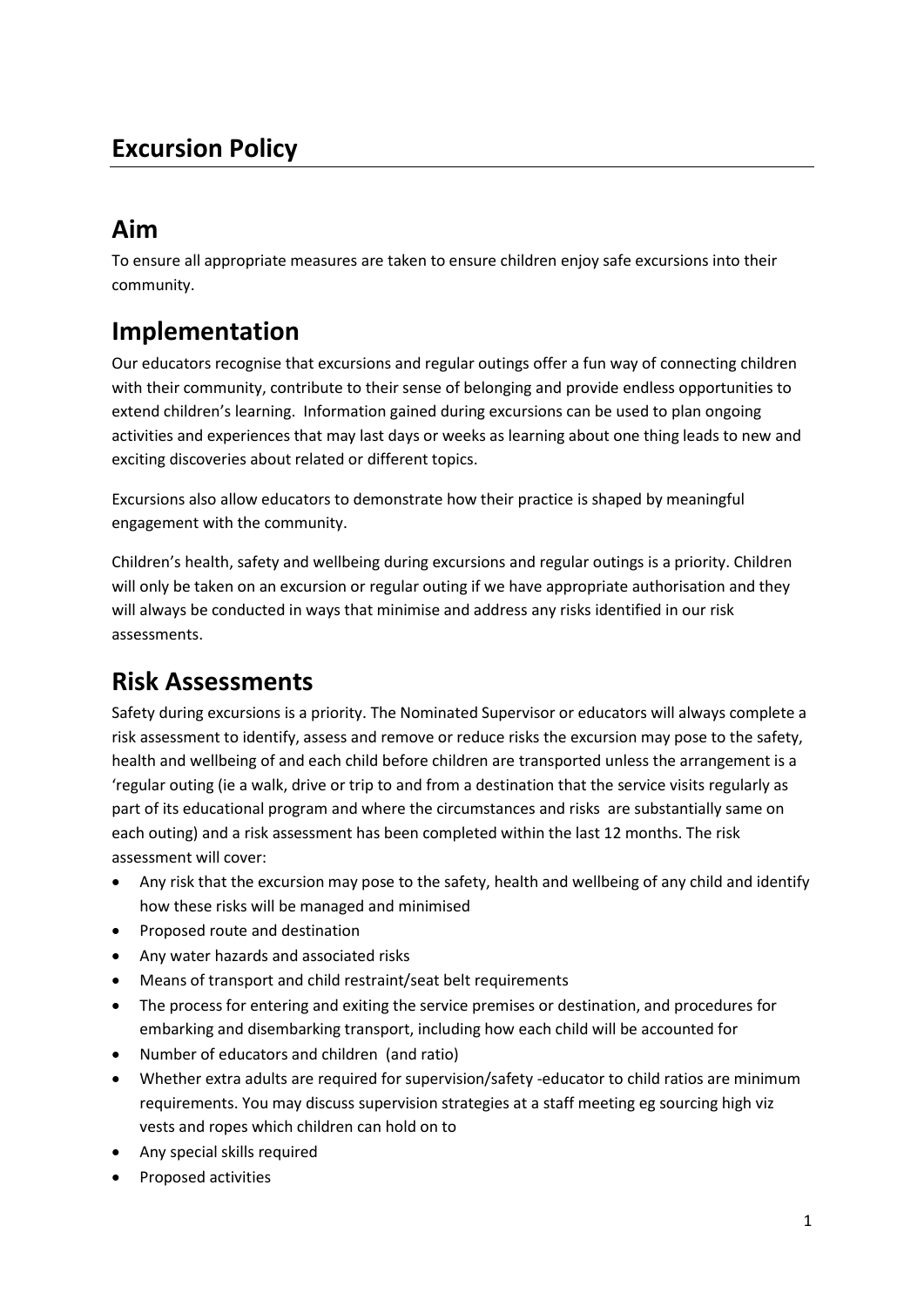## **Excursion Policy**

## **Aim**

To ensure all appropriate measures are taken to ensure children enjoy safe excursions into their community.

# **Implementation**

Our educators recognise that excursions and regular outings offer a fun way of connecting children with their community, contribute to their sense of belonging and provide endless opportunities to extend children's learning. Information gained during excursions can be used to plan ongoing activities and experiences that may last days or weeks as learning about one thing leads to new and exciting discoveries about related or different topics.

Excursions also allow educators to demonstrate how their practice is shaped by meaningful engagement with the community.

Children's health, safety and wellbeing during excursions and regular outings is a priority. Children will only be taken on an excursion or regular outing if we have appropriate authorisation and they will always be conducted in ways that minimise and address any risks identified in our risk assessments.

### **Risk Assessments**

Safety during excursions is a priority. The Nominated Supervisor or educators will always complete a risk assessment to identify, assess and remove or reduce risks the excursion may pose to the safety, health and wellbeing of and each child before children are transported unless the arrangement is a 'regular outing (ie a walk, drive or trip to and from a destination that the service visits regularly as part of its educational program and where the circumstances and risks are substantially same on each outing) and a risk assessment has been completed within the last 12 months. The risk assessment will cover:

- Any risk that the excursion may pose to the safety, health and wellbeing of any child and identify how these risks will be managed and minimised
- Proposed route and destination
- Any water hazards and associated risks
- Means of transport and child restraint/seat belt requirements
- The process for entering and exiting the service premises or destination, and procedures for embarking and disembarking transport, including how each child will be accounted for
- Number of educators and children (and ratio)
- Whether extra adults are required for supervision/safety -educator to child ratios are minimum requirements. You may discuss supervision strategies at a staff meeting eg sourcing high viz vests and ropes which children can hold on to
- Any special skills required
- Proposed activities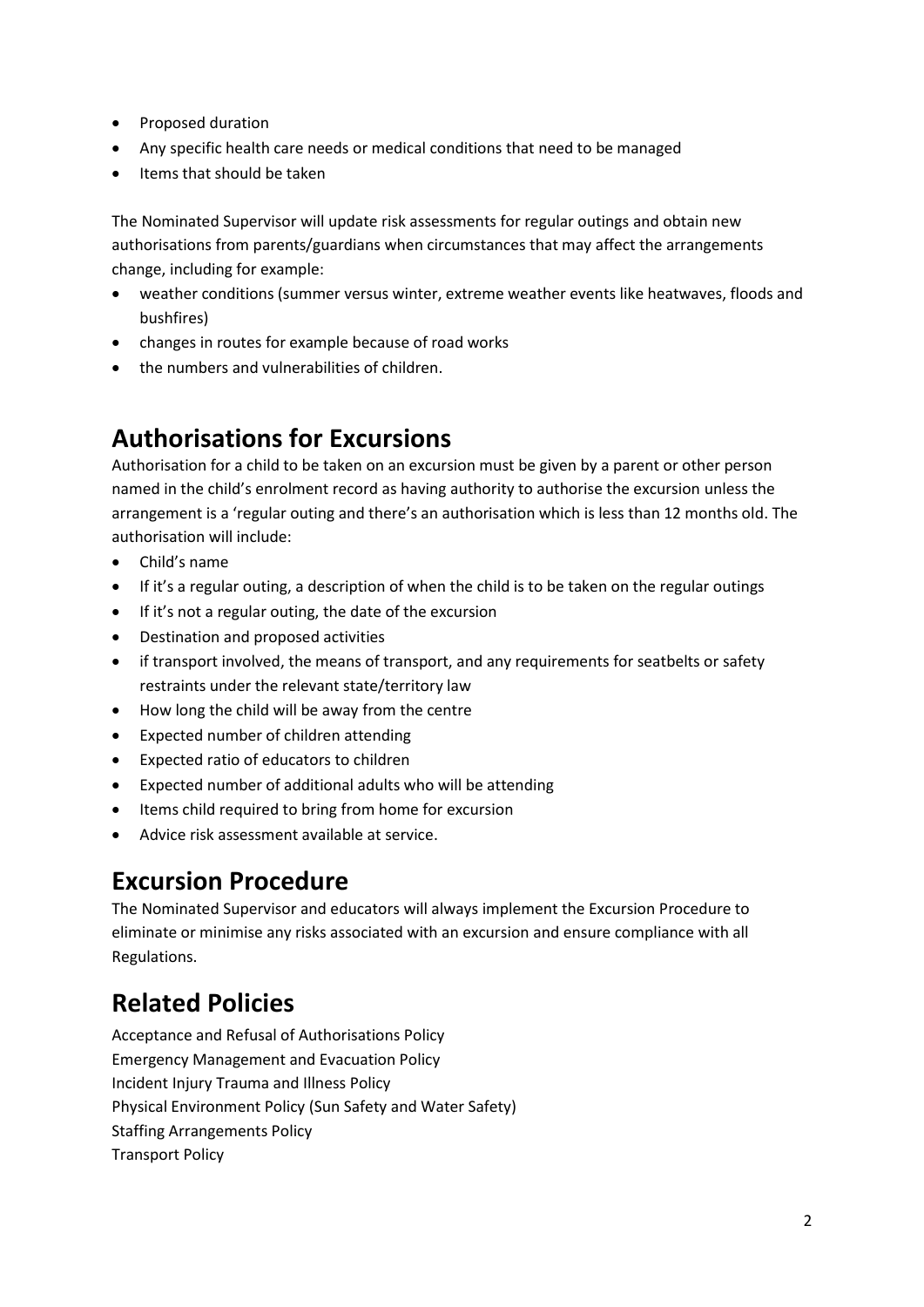- Proposed duration
- Any specific health care needs or medical conditions that need to be managed
- Items that should be taken

The Nominated Supervisor will update risk assessments for regular outings and obtain new authorisations from parents/guardians when circumstances that may affect the arrangements change, including for example:

- weather conditions (summer versus winter, extreme weather events like heatwaves, floods and bushfires)
- changes in routes for example because of road works
- the numbers and vulnerabilities of children.

# **Authorisations for Excursions**

Authorisation for a child to be taken on an excursion must be given by a parent or other person named in the child's enrolment record as having authority to authorise the excursion unless the arrangement is a 'regular outing and there's an authorisation which is less than 12 months old. The authorisation will include:

- Child's name
- If it's a regular outing, a description of when the child is to be taken on the regular outings
- If it's not a regular outing, the date of the excursion
- Destination and proposed activities
- if transport involved, the means of transport, and any requirements for seatbelts or safety restraints under the relevant state/territory law
- How long the child will be away from the centre
- Expected number of children attending
- Expected ratio of educators to children
- Expected number of additional adults who will be attending
- Items child required to bring from home for excursion
- Advice risk assessment available at service.

### **Excursion Procedure**

The Nominated Supervisor and educators will always implement the Excursion Procedure to eliminate or minimise any risks associated with an excursion and ensure compliance with all Regulations.

# **Related Policies**

Acceptance and Refusal of Authorisations Policy Emergency Management and Evacuation Policy Incident Injury Trauma and Illness Policy Physical Environment Policy (Sun Safety and Water Safety) Staffing Arrangements Policy Transport Policy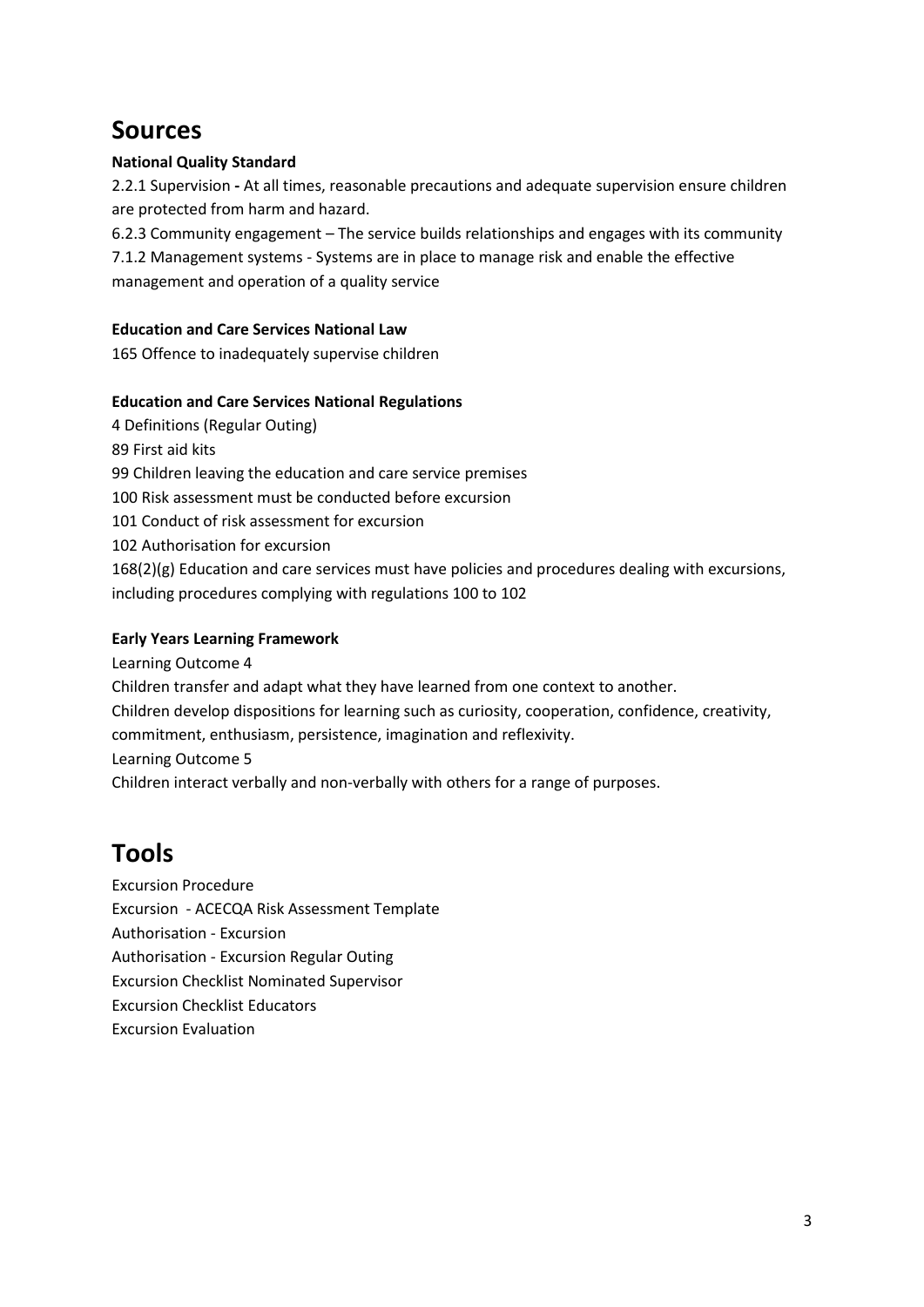### **Sources**

#### **National Quality Standard**

2.2.1 Supervision **-** At all times, reasonable precautions and adequate supervision ensure children are protected from harm and hazard.

6.2.3 Community engagement – The service builds relationships and engages with its community

7.1.2 Management systems - Systems are in place to manage risk and enable the effective management and operation of a quality service

#### **Education and Care Services National Law**

165 Offence to inadequately supervise children

#### **Education and Care Services National Regulations**

4 Definitions (Regular Outing) 89 First aid kits 99 Children leaving the education and care service premises 100 Risk assessment must be conducted before excursion 101 Conduct of risk assessment for excursion 102 Authorisation for excursion  $168(2)(g)$  Education and care services must have policies and procedures dealing with excursions, including procedures complying with regulations 100 to 102

#### **Early Years Learning Framework**

Learning Outcome 4

Children transfer and adapt what they have learned from one context to another.

Children develop dispositions for learning such as curiosity, cooperation, confidence, creativity,

commitment, enthusiasm, persistence, imagination and reflexivity.

Learning Outcome 5

Children interact verbally and non-verbally with others for a range of purposes.

# **Tools**

Excursion Procedure Excursion - ACECQA Risk Assessment Template Authorisation - Excursion Authorisation - Excursion Regular Outing Excursion Checklist Nominated Supervisor Excursion Checklist Educators Excursion Evaluation